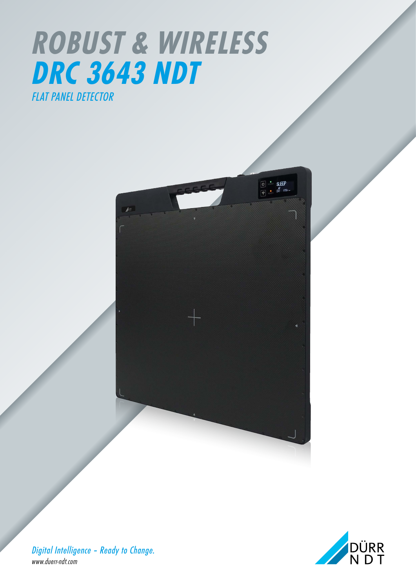## *ROBUST & WIRELESS DRC 3643 NDT*







*Digital Intelligence – Ready to Change. www.duerr-ndt.com*